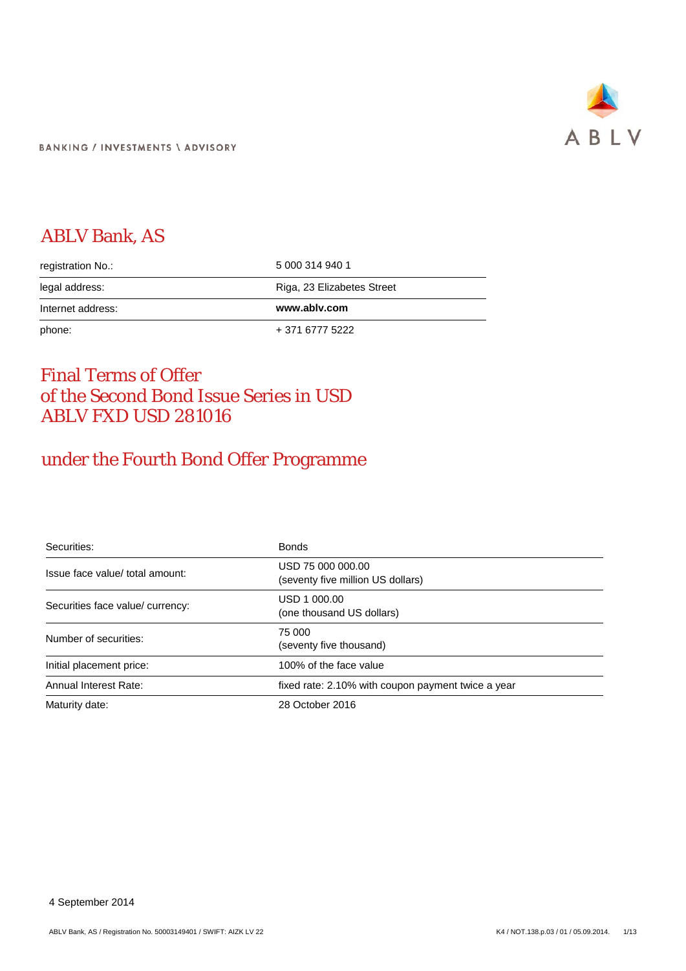

# ABLV Bank, AS

| registration No.: | 5 000 314 940 1            |
|-------------------|----------------------------|
| legal address:    | Riga, 23 Elizabetes Street |
| Internet address: | www.ablv.com               |
| phone:            | + 371 6777 5222            |

# Final Terms of Offer of the Second Bond Issue Series in USD ABLV FXD USD 281016

# under the Fourth Bond Offer Programme

| Securities:                      | <b>Bonds</b>                                           |
|----------------------------------|--------------------------------------------------------|
| Issue face value/ total amount:  | USD 75 000 000.00<br>(seventy five million US dollars) |
| Securities face value/ currency: | USD 1 000.00<br>(one thousand US dollars)              |
| Number of securities:            | 75 000<br>(seventy five thousand)                      |
| Initial placement price:         | 100% of the face value                                 |
| Annual Interest Rate:            | fixed rate: 2.10% with coupon payment twice a year     |
| Maturity date:                   | 28 October 2016                                        |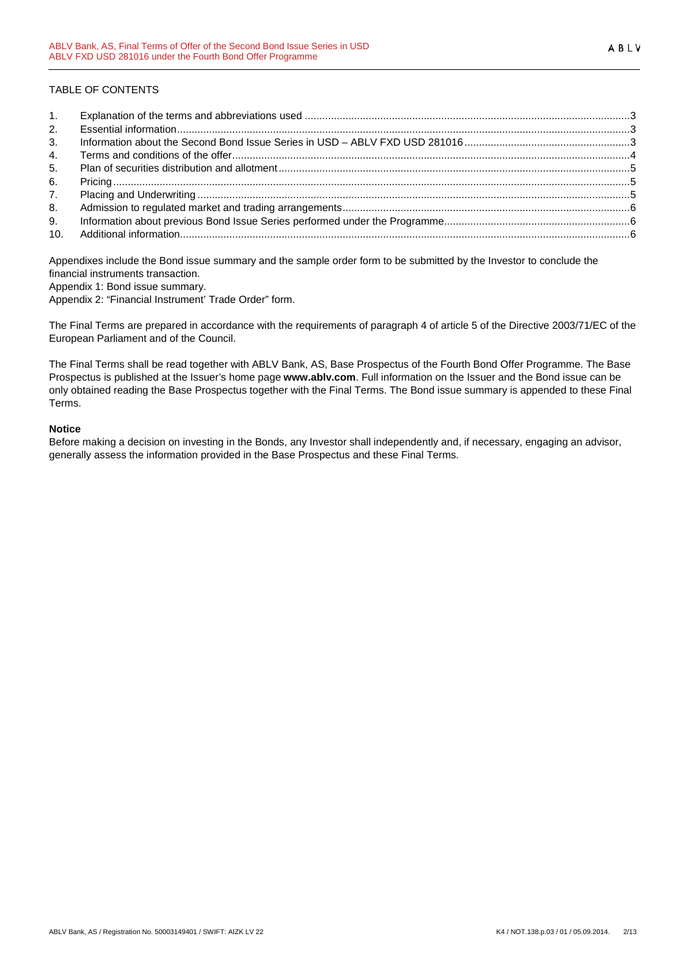# TABLE OF CONTENTS

| 1.             |  |
|----------------|--|
| 2.             |  |
| 3 <sub>1</sub> |  |
| 4.             |  |
| 5.             |  |
| 6.             |  |
| 7.             |  |
| 8.             |  |
| 9.             |  |
|                |  |

Appendixes include the Bond issue summary and the sample order form to be submitted by the Investor to conclude the financial instruments transaction.

Appendix 1: Bond issue summary.

Appendix 2: "Financial Instrument' Trade Order" form.

The Final Terms are prepared in accordance with the requirements of paragraph 4 of article 5 of the Directive 2003/71/EC of the European Parliament and of the Council.

The Final Terms shall be read together with ABLV Bank, AS, Base Prospectus of the Fourth Bond Offer Programme. The Base Prospectus is published at the Issuer's home page **www.ablv.com**. Full information on the Issuer and the Bond issue can be only obtained reading the Base Prospectus together with the Final Terms. The Bond issue summary is appended to these Final Terms.

## **Notice**

Before making a decision on investing in the Bonds, any Investor shall independently and, if necessary, engaging an advisor, generally assess the information provided in the Base Prospectus and these Final Terms.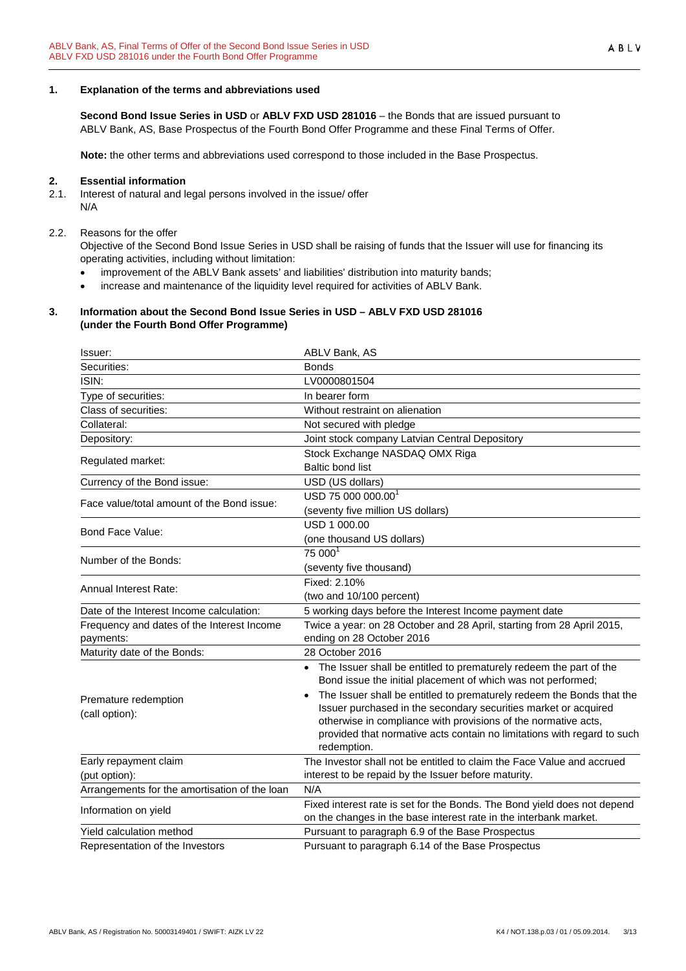#### <span id="page-2-0"></span>**1. Explanation of the terms and abbreviations used**

**Second Bond Issue Series in USD** or **ABLV FXD USD 281016** – the Bonds that are issued pursuant to ABLV Bank, AS, Base Prospectus of the Fourth Bond Offer Programme and these Final Terms of Offer.

**Note:** the other terms and abbreviations used correspond to those included in the Base Prospectus.

#### <span id="page-2-1"></span>**2. Essential information**

2.1. Interest of natural and legal persons involved in the issue/ offer N/A

#### 2.2. Reasons for the offer

Objective of the Second Bond Issue Series in USD shall be raising of funds that the Issuer will use for financing its operating activities, including without limitation:

- improvement of the ABLV Bank assets' and liabilities' distribution into maturity bands;
- increase and maintenance of the liquidity level required for activities of ABLV Bank.

#### <span id="page-2-2"></span>**3. Information about the Second Bond Issue Series in USD – ABLV FXD USD 281016 (under the Fourth Bond Offer Programme)**

| Issuer:                                                 | ABLV Bank, AS                                                                                                                                                                                                                                                                                                                                                                                                                                |
|---------------------------------------------------------|----------------------------------------------------------------------------------------------------------------------------------------------------------------------------------------------------------------------------------------------------------------------------------------------------------------------------------------------------------------------------------------------------------------------------------------------|
| Securities:                                             | <b>Bonds</b>                                                                                                                                                                                                                                                                                                                                                                                                                                 |
| ISIN:                                                   | LV0000801504                                                                                                                                                                                                                                                                                                                                                                                                                                 |
| Type of securities:                                     | In bearer form                                                                                                                                                                                                                                                                                                                                                                                                                               |
| Class of securities:                                    | Without restraint on alienation                                                                                                                                                                                                                                                                                                                                                                                                              |
| Collateral:                                             | Not secured with pledge                                                                                                                                                                                                                                                                                                                                                                                                                      |
| Depository:                                             | Joint stock company Latvian Central Depository                                                                                                                                                                                                                                                                                                                                                                                               |
|                                                         | Stock Exchange NASDAQ OMX Riga                                                                                                                                                                                                                                                                                                                                                                                                               |
| Regulated market:                                       | <b>Baltic bond list</b>                                                                                                                                                                                                                                                                                                                                                                                                                      |
| Currency of the Bond issue:                             | USD (US dollars)                                                                                                                                                                                                                                                                                                                                                                                                                             |
| Face value/total amount of the Bond issue:              | USD 75 000 000.00 <sup>1</sup>                                                                                                                                                                                                                                                                                                                                                                                                               |
|                                                         | (seventy five million US dollars)                                                                                                                                                                                                                                                                                                                                                                                                            |
| Bond Face Value:                                        | USD 1 000.00                                                                                                                                                                                                                                                                                                                                                                                                                                 |
|                                                         | (one thousand US dollars)                                                                                                                                                                                                                                                                                                                                                                                                                    |
| Number of the Bonds:                                    | 75 000                                                                                                                                                                                                                                                                                                                                                                                                                                       |
|                                                         | (seventy five thousand)                                                                                                                                                                                                                                                                                                                                                                                                                      |
| Annual Interest Rate:                                   | Fixed: 2.10%                                                                                                                                                                                                                                                                                                                                                                                                                                 |
|                                                         | (two and 10/100 percent)                                                                                                                                                                                                                                                                                                                                                                                                                     |
| Date of the Interest Income calculation:                | 5 working days before the Interest Income payment date                                                                                                                                                                                                                                                                                                                                                                                       |
| Frequency and dates of the Interest Income<br>payments: | Twice a year: on 28 October and 28 April, starting from 28 April 2015,<br>ending on 28 October 2016                                                                                                                                                                                                                                                                                                                                          |
| Maturity date of the Bonds:                             | 28 October 2016                                                                                                                                                                                                                                                                                                                                                                                                                              |
| Premature redemption<br>(call option):                  | • The Issuer shall be entitled to prematurely redeem the part of the<br>Bond issue the initial placement of which was not performed;<br>The Issuer shall be entitled to prematurely redeem the Bonds that the<br>Issuer purchased in the secondary securities market or acquired<br>otherwise in compliance with provisions of the normative acts,<br>provided that normative acts contain no limitations with regard to such<br>redemption. |
| Early repayment claim                                   | The Investor shall not be entitled to claim the Face Value and accrued                                                                                                                                                                                                                                                                                                                                                                       |
| (put option):                                           | interest to be repaid by the Issuer before maturity.                                                                                                                                                                                                                                                                                                                                                                                         |
| Arrangements for the amortisation of the loan           | N/A                                                                                                                                                                                                                                                                                                                                                                                                                                          |
| Information on yield                                    | Fixed interest rate is set for the Bonds. The Bond yield does not depend<br>on the changes in the base interest rate in the interbank market.                                                                                                                                                                                                                                                                                                |
| Yield calculation method                                | Pursuant to paragraph 6.9 of the Base Prospectus                                                                                                                                                                                                                                                                                                                                                                                             |
| Representation of the Investors                         | Pursuant to paragraph 6.14 of the Base Prospectus                                                                                                                                                                                                                                                                                                                                                                                            |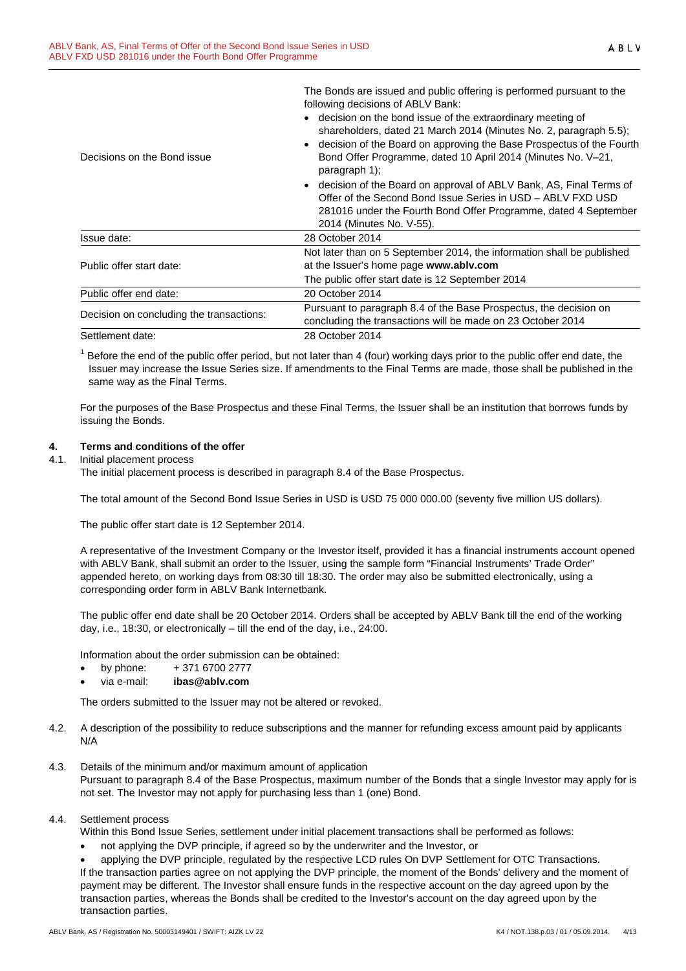The Bonds are issued and public offering is performed pursuant to the following decisions of ABLV Bank:

|                                          | • decision on the bond issue of the extraordinary meeting of                                                                                                                                                                       |
|------------------------------------------|------------------------------------------------------------------------------------------------------------------------------------------------------------------------------------------------------------------------------------|
| Decisions on the Bond issue              | shareholders, dated 21 March 2014 (Minutes No. 2, paragraph 5.5);<br>• decision of the Board on approving the Base Prospectus of the Fourth<br>Bond Offer Programme, dated 10 April 2014 (Minutes No. V-21,<br>paragraph 1);       |
|                                          | • decision of the Board on approval of ABLV Bank, AS, Final Terms of<br>Offer of the Second Bond Issue Series in USD - ABLV FXD USD<br>281016 under the Fourth Bond Offer Programme, dated 4 September<br>2014 (Minutes No. V-55). |
| Issue date:                              | 28 October 2014                                                                                                                                                                                                                    |
| Public offer start date:                 | Not later than on 5 September 2014, the information shall be published<br>at the Issuer's home page www.ablv.com                                                                                                                   |
|                                          | The public offer start date is 12 September 2014                                                                                                                                                                                   |
| Public offer end date:                   | 20 October 2014                                                                                                                                                                                                                    |
| Decision on concluding the transactions: | Pursuant to paragraph 8.4 of the Base Prospectus, the decision on                                                                                                                                                                  |
|                                          | concluding the transactions will be made on 23 October 2014                                                                                                                                                                        |
| Settlement date:                         | 28 October 2014                                                                                                                                                                                                                    |

 $<sup>1</sup>$  Before the end of the public offer period, but not later than 4 (four) working days prior to the public offer end date, the</sup> Issuer may increase the Issue Series size. If amendments to the Final Terms are made, those shall be published in the same way as the Final Terms.

For the purposes of the Base Prospectus and these Final Terms, the Issuer shall be an institution that borrows funds by issuing the Bonds.

# <span id="page-3-0"></span>**4. Terms and conditions of the offer**

### 4.1. Initial placement process

The initial placement process is described in paragraph 8.4 of the Base Prospectus.

The total amount of the Second Bond Issue Series in USD is USD 75 000 000.00 (seventy five million US dollars).

The public offer start date is 12 September 2014.

A representative of the Investment Company or the Investor itself, provided it has a financial instruments account opened with ABLV Bank, shall submit an order to the Issuer, using the sample form "Financial Instruments' Trade Order" appended hereto, on working days from 08:30 till 18:30. The order may also be submitted electronically, using a corresponding order form in ABLV Bank Internetbank.

The public offer end date shall be 20 October 2014. Orders shall be accepted by ABLV Bank till the end of the working day, i.e., 18:30, or electronically – till the end of the day, i.e., 24:00.

Information about the order submission can be obtained:

- by phone:  $+371\,6700\,2777$
- via e-mail: **ibas@ablv.com**

The orders submitted to the Issuer may not be altered or revoked.

- 4.2. A description of the possibility to reduce subscriptions and the manner for refunding excess amount paid by applicants N/A
- 4.3. Details of the minimum and/or maximum amount of application Pursuant to paragraph 8.4 of the Base Prospectus, maximum number of the Bonds that a single Investor may apply for is not set. The Investor may not apply for purchasing less than 1 (one) Bond.

#### 4.4. Settlement process

Within this Bond Issue Series, settlement under initial placement transactions shall be performed as follows:

• not applying the DVP principle, if agreed so by the underwriter and the Investor, or

• applying the DVP principle, regulated by the respective LCD rules On DVP Settlement for OTC Transactions. If the transaction parties agree on not applying the DVP principle, the moment of the Bonds' delivery and the moment of payment may be different. The Investor shall ensure funds in the respective account on the day agreed upon by the transaction parties, whereas the Bonds shall be credited to the Investor's account on the day agreed upon by the transaction parties.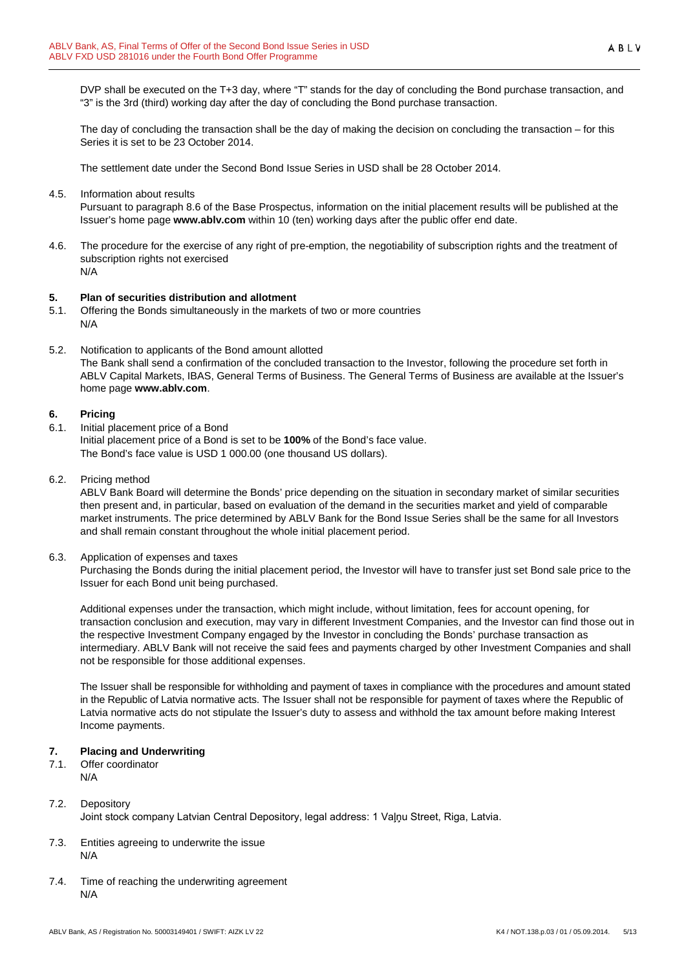DVP shall be executed on the T+3 day, where "T" stands for the day of concluding the Bond purchase transaction, and "3" is the 3rd (third) working day after the day of concluding the Bond purchase transaction.

The day of concluding the transaction shall be the day of making the decision on concluding the transaction – for this Series it is set to be 23 October 2014.

The settlement date under the Second Bond Issue Series in USD shall be 28 October 2014.

4.5. Information about results

Pursuant to paragraph 8.6 of the Base Prospectus, information on the initial placement results will be published at the Issuer's home page **www.ablv.com** within 10 (ten) working days after the public offer end date.

4.6. The procedure for the exercise of any right of pre-emption, the negotiability of subscription rights and the treatment of subscription rights not exercised N/A

### <span id="page-4-0"></span>**5. Plan of securities distribution and allotment**

- 5.1. Offering the Bonds simultaneously in the markets of two or more countries N/A
- 5.2. Notification to applicants of the Bond amount allotted The Bank shall send a confirmation of the concluded transaction to the Investor, following the procedure set forth in ABLV Capital Markets, IBAS, General Terms of Business. The General Terms of Business are available at the Issuer's home page **[www.ablv.com](http://www.ablv.com/)**.

### <span id="page-4-1"></span>**6. Pricing**

- 6.1. Initial placement price of a Bond Initial placement price of a Bond is set to be **100%** of the Bond's face value. The Bond's face value is USD 1 000.00 (one thousand US dollars).
- 6.2. Pricing method

ABLV Bank Board will determine the Bonds' price depending on the situation in secondary market of similar securities then present and, in particular, based on evaluation of the demand in the securities market and yield of comparable market instruments. The price determined by ABLV Bank for the Bond Issue Series shall be the same for all Investors and shall remain constant throughout the whole initial placement period.

6.3. Application of expenses and taxes

Purchasing the Bonds during the initial placement period, the Investor will have to transfer just set Bond sale price to the Issuer for each Bond unit being purchased.

Additional expenses under the transaction, which might include, without limitation, fees for account opening, for transaction conclusion and execution, may vary in different Investment Companies, and the Investor can find those out in the respective Investment Company engaged by the Investor in concluding the Bonds' purchase transaction as intermediary. ABLV Bank will not receive the said fees and payments charged by other Investment Companies and shall not be responsible for those additional expenses.

The Issuer shall be responsible for withholding and payment of taxes in compliance with the procedures and amount stated in the Republic of Latvia normative acts. The Issuer shall not be responsible for payment of taxes where the Republic of Latvia normative acts do not stipulate the Issuer's duty to assess and withhold the tax amount before making Interest Income payments.

#### <span id="page-4-2"></span>**7. Placing and Underwriting**

7.1. Offer coordinator N/A

- 7.2. Depository Joint stock company Latvian Central Depository, legal address: 1 Vaļņu Street, Riga, Latvia.
- 7.3. Entities agreeing to underwrite the issue N/A
- 7.4. Time of reaching the underwriting agreement N/A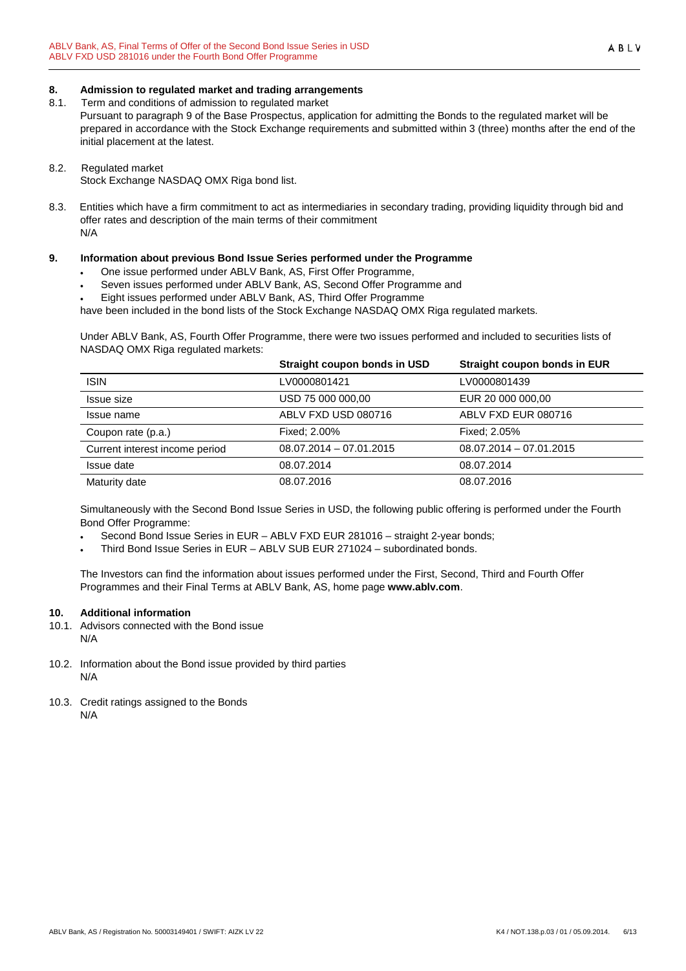### <span id="page-5-0"></span>**8. Admission to regulated market and trading arrangements**

8.1. Term and conditions of admission to regulated market

Pursuant to paragraph 9 of the Base Prospectus, application for admitting the Bonds to the regulated market will be prepared in accordance with the Stock Exchange requirements and submitted within 3 (three) months after the end of the initial placement at the latest.

#### 8.2. Regulated market

Stock Exchange NASDAQ OMX Riga bond list.

8.3. Entities which have a firm commitment to act as intermediaries in secondary trading, providing liquidity through bid and offer rates and description of the main terms of their commitment N/A

### <span id="page-5-1"></span>**9. Information about previous Bond Issue Series performed under the Programme**

- One issue performed under ABLV Bank, AS, First Offer Programme,
- Seven issues performed under ABLV Bank, AS, Second Offer Programme and
- Eight issues performed under ABLV Bank, AS, Third Offer Programme

have been included in the bond lists of the Stock Exchange NASDAQ OMX Riga regulated markets.

Under ABLV Bank, AS, Fourth Offer Programme, there were two issues performed and included to securities lists of NASDAQ OMX Riga regulated markets:

|                                | Straight coupon bonds in USD | Straight coupon bonds in EUR |
|--------------------------------|------------------------------|------------------------------|
| <b>ISIN</b>                    | LV0000801421                 | LV0000801439                 |
| Issue size                     | USD 75 000 000,00            | EUR 20 000 000.00            |
| Issue name                     | ABLV FXD USD 080716          | ABLV FXD EUR 080716          |
| Coupon rate (p.a.)             | Fixed: 2.00%                 | Fixed: 2.05%                 |
| Current interest income period | $08.07.2014 - 07.01.2015$    | $08.07.2014 - 07.01.2015$    |
| Issue date                     | 08.07.2014                   | 08.07.2014                   |
| Maturity date                  | 08.07.2016                   | 08.07.2016                   |

Simultaneously with the Second Bond Issue Series in USD, the following public offering is performed under the Fourth Bond Offer Programme:

• Second Bond Issue Series in EUR – ABLV FXD EUR 281016 – straight 2-year bonds;

• Third Bond Issue Series in EUR – ABLV SUB EUR 271024 – subordinated bonds.

The Investors can find the information about issues performed under the First, Second, Third and Fourth Offer Programmes and their Final Terms at ABLV Bank, AS, home page **[www.ablv.com](http://www.ablv.com/)**.

# <span id="page-5-2"></span>**10. Additional information**

- 10.1. Advisors connected with the Bond issue N/A
- 10.2. Information about the Bond issue provided by third parties N/A
- 10.3. Credit ratings assigned to the Bonds N/A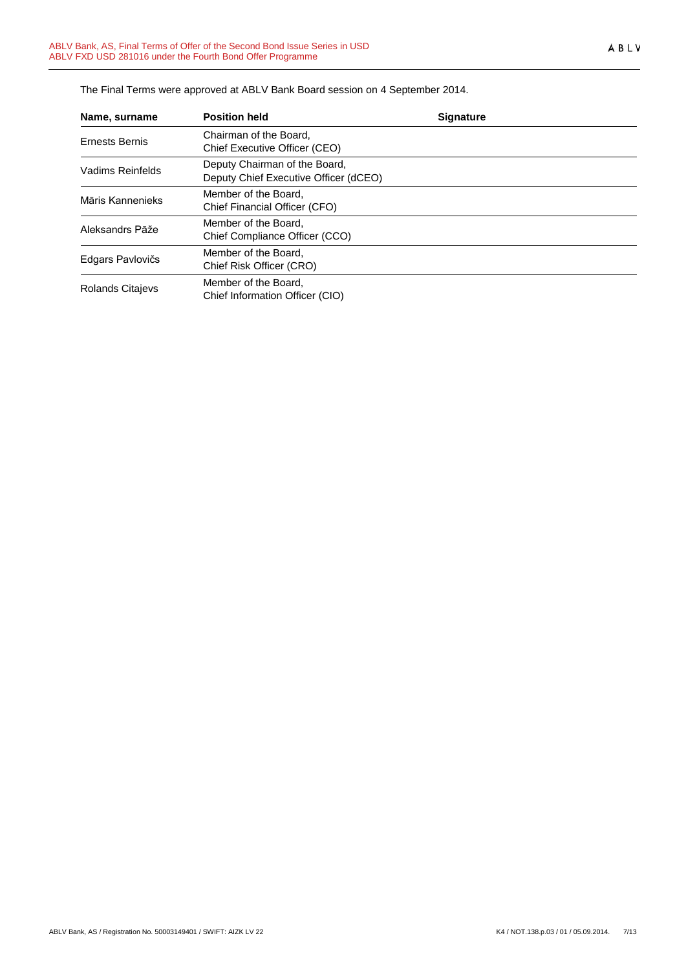| Name, surname           | <b>Position held</b>                                                   | <b>Signature</b> |  |
|-------------------------|------------------------------------------------------------------------|------------------|--|
| <b>Ernests Bernis</b>   | Chairman of the Board,<br>Chief Executive Officer (CEO)                |                  |  |
| Vadims Reinfelds        | Deputy Chairman of the Board,<br>Deputy Chief Executive Officer (dCEO) |                  |  |
| Māris Kannenieks        | Member of the Board.<br>Chief Financial Officer (CFO)                  |                  |  |
| Aleksandrs Pāže         | Member of the Board,<br>Chief Compliance Officer (CCO)                 |                  |  |
| Edgars Pavlovičs        | Member of the Board,<br>Chief Risk Officer (CRO)                       |                  |  |
| <b>Rolands Citajevs</b> | Member of the Board.<br>Chief Information Officer (CIO)                |                  |  |

The Final Terms were approved at ABLV Bank Board session on 4 September 2014.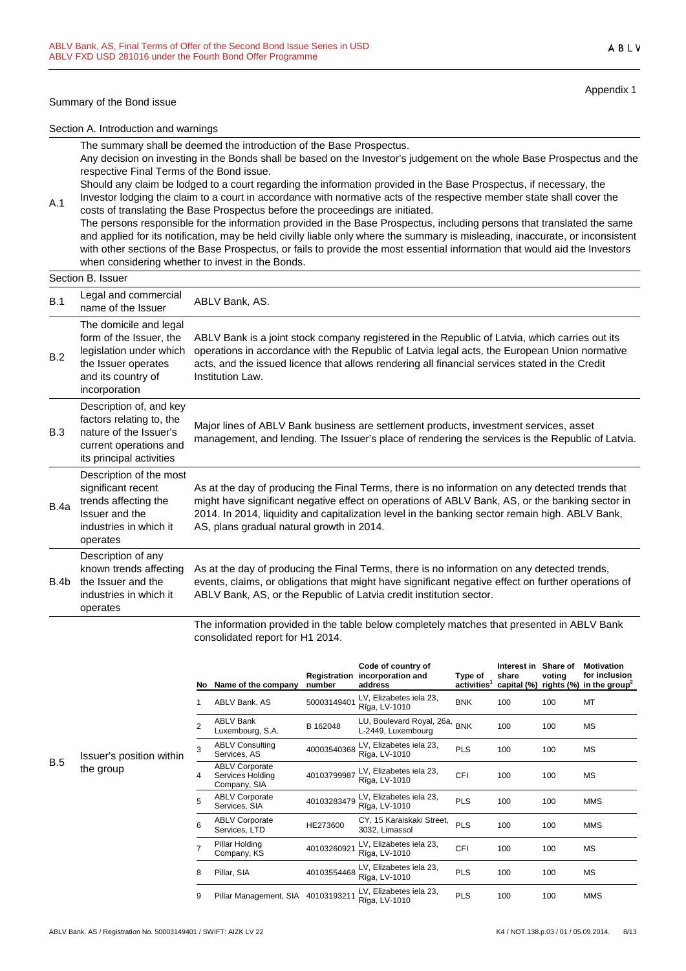#### Summary of the Bond issue

Appendix 1

ABLV

Section A. Introduction and warnings

The summary shall be deemed the introduction of the Base Prospectus. Any decision on investing in the Bonds shall be based on the Investor's judgement on the whole Base Prospectus and the respective Final Terms of the Bond issue.

Should any claim be lodged to a court regarding the information provided in the Base Prospectus, if necessary, the Investor lodging the claim to a court in accordance with normative acts of the respective member state shall cover the

A.1 costs of translating the Base Prospectus before the proceedings are initiated. The persons responsible for the information provided in the Base Prospectus, including persons that translated the same and applied for its notification, may be held civilly liable only where the summary is misleading, inaccurate, or inconsistent with other sections of the Base Prospectus, or fails to provide the most essential information that would aid the Investors when considering whether to invest in the Bonds.

# Section B. Issuer

| B.1  | Legal and commercial<br>name of the Issuer                                                                                                 | ABLV Bank, AS.                                                                                                                                                                                                                                                                                                                                     |
|------|--------------------------------------------------------------------------------------------------------------------------------------------|----------------------------------------------------------------------------------------------------------------------------------------------------------------------------------------------------------------------------------------------------------------------------------------------------------------------------------------------------|
| B.2  | The domicile and legal<br>form of the Issuer, the<br>legislation under which<br>the Issuer operates<br>and its country of<br>incorporation | ABLV Bank is a joint stock company registered in the Republic of Latvia, which carries out its<br>operations in accordance with the Republic of Latvia legal acts, the European Union normative<br>acts, and the issued licence that allows rendering all financial services stated in the Credit<br>Institution Law.                              |
| B.3  | Description of, and key<br>factors relating to, the<br>nature of the Issuer's<br>current operations and<br>its principal activities        | Major lines of ABLV Bank business are settlement products, investment services, asset<br>management, and lending. The Issuer's place of rendering the services is the Republic of Latvia.                                                                                                                                                          |
| B.4a | Description of the most<br>significant recent<br>trends affecting the<br>Issuer and the<br>industries in which it<br>operates              | As at the day of producing the Final Terms, there is no information on any detected trends that<br>might have significant negative effect on operations of ABLV Bank, AS, or the banking sector in<br>2014. In 2014, liquidity and capitalization level in the banking sector remain high. ABLV Bank,<br>AS, plans gradual natural growth in 2014. |
| B.4b | Description of any<br>known trends affecting<br>the Issuer and the<br>industries in which it<br>operates                                   | As at the day of producing the Final Terms, there is no information on any detected trends,<br>events, claims, or obligations that might have significant negative effect on further operations of<br>ABLV Bank, AS, or the Republic of Latvia credit institution sector.                                                                          |

The information provided in the table below completely matches that presented in ABLV Bank consolidated report for H1 2014.

|   | No.            | Name of the company                                       | Registration<br>number | Code of country of<br>incorporation and<br>address | Type of<br>activities <sup>1</sup> | Interest in<br>share<br>capital (%) rights (%) | Share of<br>voting | <b>Motivation</b><br>for inclusion<br>in the group <sup>4</sup> |
|---|----------------|-----------------------------------------------------------|------------------------|----------------------------------------------------|------------------------------------|------------------------------------------------|--------------------|-----------------------------------------------------------------|
|   | 1              | ABLV Bank, AS                                             | 50003149401            | LV, Elizabetes iela 23,<br>Rīga, LV-1010           | <b>BNK</b>                         | 100                                            | 100                | MT                                                              |
|   | $\mathfrak{p}$ | <b>ABLV Bank</b><br>Luxembourg, S.A.                      | B 162048               | LU, Boulevard Royal, 26a,<br>L-2449, Luxembourg    | <b>BNK</b>                         | 100                                            | 100                | МS                                                              |
| n | 3              | <b>ABLV Consulting</b><br>Services, AS                    | 40003540368            | LV, Elizabetes iela 23,<br>Rīga, LV-1010           | <b>PLS</b>                         | 100                                            | 100                | МS                                                              |
|   | 4              | <b>ABLV Corporate</b><br>Services Holding<br>Company, SIA | 40103799987            | LV, Elizabetes iela 23,<br>Rīga, LV-1010           | <b>CFI</b>                         | 100                                            | 100                | МS                                                              |
|   | 5              | <b>ABLV Corporate</b><br>Services, SIA                    | 40103283479            | LV, Elizabetes iela 23,<br>Rīga, LV-1010           | <b>PLS</b>                         | 100                                            | 100                | <b>MMS</b>                                                      |
|   | 6              | <b>ABLV Corporate</b><br>Services, LTD                    | HE273600               | CY, 15 Karaiskaki Street,<br>3032, Limassol        | <b>PLS</b>                         | 100                                            | 100                | <b>MMS</b>                                                      |
|   | 7              | Pillar Holding<br>Company, KS                             | 40103260921            | LV, Elizabetes iela 23,<br>Rīga, LV-1010           | <b>CFI</b>                         | 100                                            | 100                | МS                                                              |
|   | 8              | Pillar, SIA                                               | 40103554468            | LV, Elizabetes iela 23,<br>Rīga, LV-1010           | <b>PLS</b>                         | 100                                            | 100                | МS                                                              |
|   | 9              | Pillar Management, SIA                                    | 40103193211            | LV, Elizabetes iela 23,<br>Rīga, LV-1010           | <b>PLS</b>                         | 100                                            | 100                | <b>MMS</b>                                                      |

B.5 Issuer's position within the group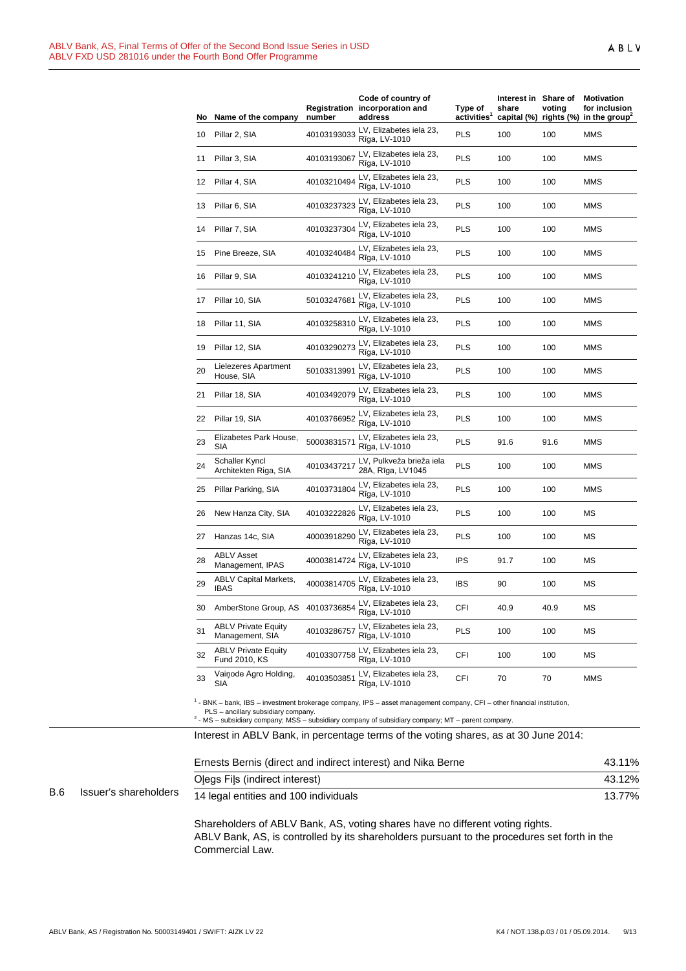| No | Name of the company                           | number      | Code of country of<br>Registration incorporation and<br>address | Type of<br>activities <sup>1</sup> | Interest in Share of<br>share | voting | Motivation<br>for inclusion<br>capital $(\%)$ rights $(\%)$ in the group <sup>2</sup> |
|----|-----------------------------------------------|-------------|-----------------------------------------------------------------|------------------------------------|-------------------------------|--------|---------------------------------------------------------------------------------------|
| 10 | Pillar 2, SIA                                 | 40103193033 | LV, Elizabetes iela 23,<br>Rīga, LV-1010                        | <b>PLS</b>                         | 100                           | 100    | <b>MMS</b>                                                                            |
| 11 | Pillar 3, SIA                                 | 40103193067 | LV, Elizabetes iela 23,<br>Rīga, LV-1010                        | <b>PLS</b>                         | 100                           | 100    | MMS                                                                                   |
| 12 | Pillar 4, SIA                                 | 40103210494 | LV, Elizabetes iela 23,<br>Rīga, LV-1010                        | PLS                                | 100                           | 100    | MMS                                                                                   |
| 13 | Pillar 6, SIA                                 | 40103237323 | LV, Elizabetes iela 23,<br>Rīga, LV-1010                        | <b>PLS</b>                         | 100                           | 100    | <b>MMS</b>                                                                            |
| 14 | Pillar 7, SIA                                 | 40103237304 | LV, Elizabetes iela 23,<br>Rīga, LV-1010                        | <b>PLS</b>                         | 100                           | 100    | MMS                                                                                   |
| 15 | Pine Breeze, SIA                              | 40103240484 | LV, Elizabetes iela 23,<br>Rīga, LV-1010                        | PLS                                | 100                           | 100    | MMS                                                                                   |
| 16 | Pillar 9, SIA                                 | 40103241210 | LV, Elizabetes iela 23,<br>Rīga, LV-1010                        | <b>PLS</b>                         | 100                           | 100    | MMS                                                                                   |
| 17 | Pillar 10, SIA                                | 50103247681 | LV, Elizabetes iela 23,<br>Rīga, LV-1010                        | <b>PLS</b>                         | 100                           | 100    | MMS                                                                                   |
| 18 | Pillar 11, SIA                                | 40103258310 | LV, Elizabetes iela 23,<br>Rīga, LV-1010                        | <b>PLS</b>                         | 100                           | 100    | MMS                                                                                   |
| 19 | Pillar 12, SIA                                | 40103290273 | LV, Elizabetes iela 23,<br>Rīga, LV-1010                        | <b>PLS</b>                         | 100                           | 100    | MMS                                                                                   |
| 20 | Lielezeres Apartment<br>House, SIA            | 50103313991 | LV, Elizabetes iela 23,<br>Rīga, LV-1010                        | <b>PLS</b>                         | 100                           | 100    | MMS                                                                                   |
| 21 | Pillar 18, SIA                                | 40103492079 | LV, Elizabetes iela 23,<br>Rīga, LV-1010                        | <b>PLS</b>                         | 100                           | 100    | MMS                                                                                   |
| 22 | Pillar 19, SIA                                | 40103766952 | LV, Elizabetes iela 23,<br>Rīga, LV-1010                        | <b>PLS</b>                         | 100                           | 100    | MMS                                                                                   |
| 23 | Elizabetes Park House,<br>SIA                 | 50003831571 | LV, Elizabetes iela 23,<br>Rīga, LV-1010                        | <b>PLS</b>                         | 91.6                          | 91.6   | MMS                                                                                   |
| 24 | Schaller Kyncl<br>Architekten Riga, SIA       | 40103437217 | LV, Pulkveža brieža iela<br>28A, Rīga, LV1045                   | <b>PLS</b>                         | 100                           | 100    | MMS                                                                                   |
| 25 | Pillar Parking, SIA                           | 40103731804 | LV, Elizabetes iela 23,<br>Rīga, LV-1010                        | <b>PLS</b>                         | 100                           | 100    | MMS                                                                                   |
| 26 | New Hanza City, SIA                           | 40103222826 | LV, Elizabetes iela 23,<br>Rīga, LV-1010                        | <b>PLS</b>                         | 100                           | 100    | МS                                                                                    |
| 27 | Hanzas 14c, SIA                               | 40003918290 | LV, Elizabetes iela 23,<br>Rīga, LV-1010                        | <b>PLS</b>                         | 100                           | 100    | МS                                                                                    |
| 28 | <b>ABLV Asset</b><br>Management, IPAS         | 40003814724 | LV, Elizabetes iela 23,<br>Rīga, LV-1010                        | <b>IPS</b>                         | 91.7                          | 100    | МS                                                                                    |
| 29 | ABLV Capital Markets,<br><b>IBAS</b>          | 40003814705 | LV, Elizabetes iela 23,<br>Rīga, LV-1010                        | <b>IBS</b>                         | 90                            | 100    | МS                                                                                    |
| 30 | AmberStone Group, AS 40103736854              |             | LV, Elizabetes iela 23,<br>Rīga, LV-1010                        | CFI                                | 40.9                          | 40.9   | МS                                                                                    |
| 31 | <b>ABLV Private Equity</b><br>Management, SIA | 40103286757 | LV, Elizabetes iela 23,<br>Rīga, LV-1010                        | PLS                                | 100                           | 100    | МS                                                                                    |
| 32 | <b>ABLV Private Equity</b><br>Fund 2010, KS   | 40103307758 | LV, Elizabetes iela 23,<br>Rīga, LV-1010                        | CFI                                | 100                           | 100    | МS                                                                                    |
| 33 | Vainode Agro Holding,<br>SIA                  | 40103503851 | LV, Elizabetes iela 23,<br>Rīga, LV-1010                        | CFI                                | 70                            | 70     | MMS                                                                                   |
|    |                                               |             |                                                                 |                                    |                               |        |                                                                                       |

<sup>1</sup> - BNK – bank, IBS – investment brokerage company, IPS – asset management company, CFI – other financial institution, PLS – ancillary subsidiary company.<br><sup>2</sup> - MS – subsidiary company; MSS – subsidiary company of subsidiary company; MT – parent company.

Interest in ABLV Bank, in percentage terms of the voting shares, as at 30 June 2014:

|            |                       | Ernests Bernis (direct and indirect interest) and Nika Berne | 43.11% |
|------------|-----------------------|--------------------------------------------------------------|--------|
|            |                       | Olegs Fils (indirect interest)                               | 43.12% |
| <b>B.6</b> | Issuer's shareholders | 14 legal entities and 100 individuals                        | 13.77% |

Shareholders of ABLV Bank, AS, voting shares have no different voting rights. ABLV Bank, AS, is controlled by its shareholders pursuant to the procedures set forth in the Commercial Law.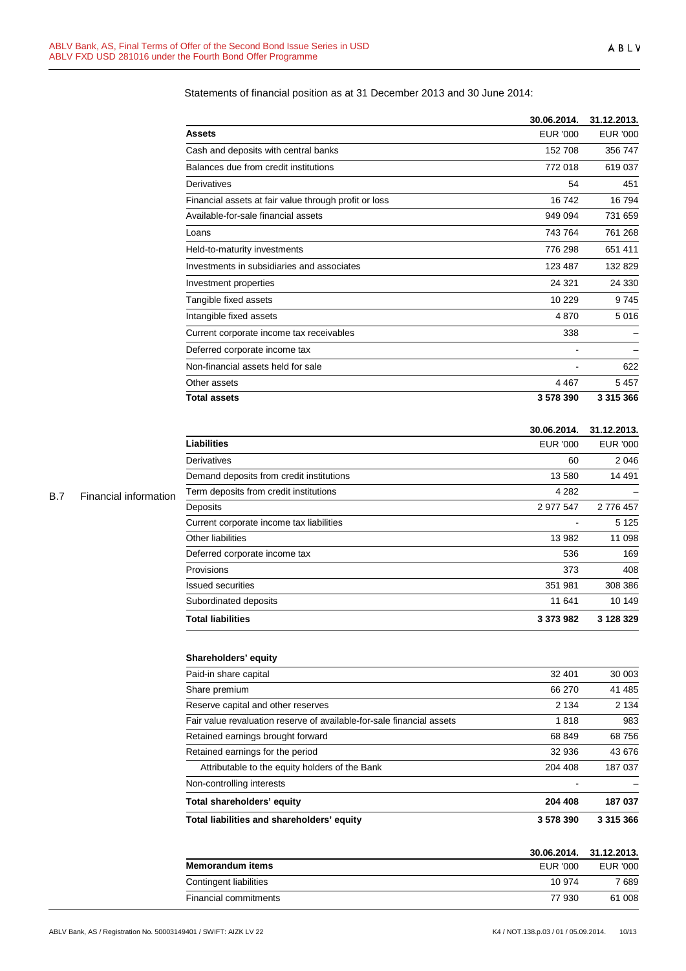# Statements of financial position as at 31 December 2013 and 30 June 2014:

|                                                       | 30.06.2014.     | 31.12.2013.     |
|-------------------------------------------------------|-----------------|-----------------|
| Assets                                                | <b>EUR '000</b> | <b>EUR '000</b> |
| Cash and deposits with central banks                  | 152 708         | 356 747         |
| Balances due from credit institutions                 | 772 018         | 619037          |
| Derivatives                                           | 54              | 451             |
| Financial assets at fair value through profit or loss | 16742           | 16794           |
| Available-for-sale financial assets                   | 949 094         | 731 659         |
| Loans                                                 | 743764          | 761 268         |
| Held-to-maturity investments                          | 776 298         | 651 411         |
| Investments in subsidiaries and associates            | 123 487         | 132829          |
| Investment properties                                 | 24 321          | 24 330          |
| Tangible fixed assets                                 | 10 229          | 9745            |
| Intangible fixed assets                               | 4870            | 5016            |
| Current corporate income tax receivables              | 338             |                 |
| Deferred corporate income tax                         |                 |                 |
| Non-financial assets held for sale                    |                 | 622             |
| Other assets                                          | 4467            | 5457            |
| <b>Total assets</b>                                   | 3578390         | 3 3 1 5 3 6 6   |

#### **30.06.2014. 31.12.2013.**

| <b>Liabilities</b>                       | EUR '000  |           |
|------------------------------------------|-----------|-----------|
| Derivatives                              | 60        | 2046      |
| Demand deposits from credit institutions | 13 580    | 14 4 91   |
| Term deposits from credit institutions   | 4 2 8 2   |           |
| Deposits                                 | 2 977 547 | 2 776 457 |
| Current corporate income tax liabilities |           | 5 1 2 5   |
| Other liabilities                        | 13 982    | 11 098    |
| Deferred corporate income tax            | 536       | 169       |
| Provisions                               | 373       | 408       |
| <b>Issued securities</b>                 | 351 981   | 308 386   |
| Subordinated deposits                    | 11 641    | 10 149    |
| <b>Total liabilities</b>                 | 3 373 982 | 3 128 329 |

# **Shareholders' equity**

| Total liabilities and shareholders' equity                            | 3578390 | 3 315 366 |  |
|-----------------------------------------------------------------------|---------|-----------|--|
| Total shareholders' equity                                            | 204 408 | 187 037   |  |
| Non-controlling interests                                             |         |           |  |
| Attributable to the equity holders of the Bank                        | 204 408 | 187 037   |  |
| Retained earnings for the period                                      | 32 936  | 43 676    |  |
| Retained earnings brought forward                                     | 68 849  | 68756     |  |
| Fair value revaluation reserve of available-for-sale financial assets | 1818    | 983       |  |
| Reserve capital and other reserves                                    | 2 1 3 4 | 2 1 3 4   |  |
| Share premium                                                         | 66 270  | 41 485    |  |
| Paid-in share capital                                                 | 32 401  | 30 003    |  |

|                         |                 | 30.06.2014. 31.12.2013. |
|-------------------------|-----------------|-------------------------|
| <b>Memorandum items</b> | <b>FUR '000</b> | EUR '000                |
| Contingent liabilities  | 10 974          | 7 689                   |
| Financial commitments   | 77 930          | 61 008                  |

# B.7 Financial information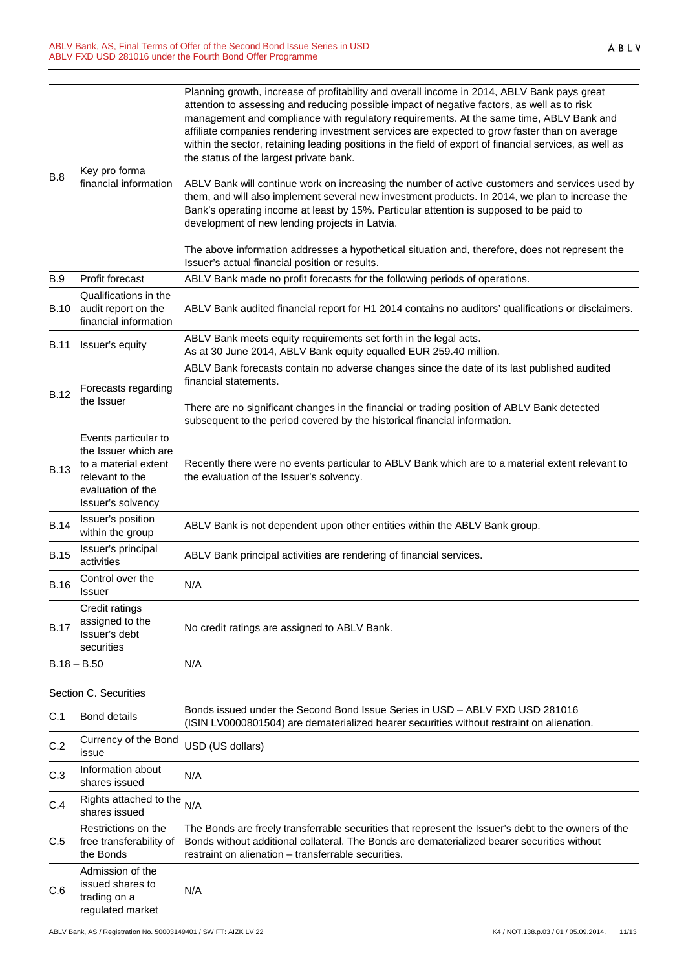| <b>B.8</b>  | Key pro forma<br>financial information                                                                                            | Planning growth, increase of profitability and overall income in 2014, ABLV Bank pays great<br>attention to assessing and reducing possible impact of negative factors, as well as to risk<br>management and compliance with regulatory requirements. At the same time, ABLV Bank and<br>affiliate companies rendering investment services are expected to grow faster than on average<br>within the sector, retaining leading positions in the field of export of financial services, as well as<br>the status of the largest private bank. |  |
|-------------|-----------------------------------------------------------------------------------------------------------------------------------|----------------------------------------------------------------------------------------------------------------------------------------------------------------------------------------------------------------------------------------------------------------------------------------------------------------------------------------------------------------------------------------------------------------------------------------------------------------------------------------------------------------------------------------------|--|
|             |                                                                                                                                   | ABLV Bank will continue work on increasing the number of active customers and services used by<br>them, and will also implement several new investment products. In 2014, we plan to increase the<br>Bank's operating income at least by 15%. Particular attention is supposed to be paid to<br>development of new lending projects in Latvia.                                                                                                                                                                                               |  |
|             |                                                                                                                                   | The above information addresses a hypothetical situation and, therefore, does not represent the<br>Issuer's actual financial position or results.                                                                                                                                                                                                                                                                                                                                                                                            |  |
| <b>B.9</b>  | Profit forecast                                                                                                                   | ABLV Bank made no profit forecasts for the following periods of operations.                                                                                                                                                                                                                                                                                                                                                                                                                                                                  |  |
| <b>B.10</b> | Qualifications in the<br>audit report on the<br>financial information                                                             | ABLV Bank audited financial report for H1 2014 contains no auditors' qualifications or disclaimers.                                                                                                                                                                                                                                                                                                                                                                                                                                          |  |
| <b>B.11</b> | Issuer's equity                                                                                                                   | ABLV Bank meets equity requirements set forth in the legal acts.<br>As at 30 June 2014, ABLV Bank equity equalled EUR 259.40 million.                                                                                                                                                                                                                                                                                                                                                                                                        |  |
| <b>B.12</b> | Forecasts regarding<br>the Issuer                                                                                                 | ABLV Bank forecasts contain no adverse changes since the date of its last published audited<br>financial statements.                                                                                                                                                                                                                                                                                                                                                                                                                         |  |
|             |                                                                                                                                   | There are no significant changes in the financial or trading position of ABLV Bank detected<br>subsequent to the period covered by the historical financial information.                                                                                                                                                                                                                                                                                                                                                                     |  |
| <b>B.13</b> | Events particular to<br>the Issuer which are<br>to a material extent<br>relevant to the<br>evaluation of the<br>Issuer's solvency | Recently there were no events particular to ABLV Bank which are to a material extent relevant to<br>the evaluation of the Issuer's solvency.                                                                                                                                                                                                                                                                                                                                                                                                 |  |
| <b>B.14</b> | Issuer's position<br>within the group                                                                                             | ABLV Bank is not dependent upon other entities within the ABLV Bank group.                                                                                                                                                                                                                                                                                                                                                                                                                                                                   |  |
| <b>B.15</b> | Issuer's principal<br>activities                                                                                                  | ABLV Bank principal activities are rendering of financial services.                                                                                                                                                                                                                                                                                                                                                                                                                                                                          |  |
| <b>B.16</b> | Control over the<br>Issuer                                                                                                        | N/A                                                                                                                                                                                                                                                                                                                                                                                                                                                                                                                                          |  |
| <b>B.17</b> | Credit ratings<br>assigned to the<br>Issuer's debt<br>securities                                                                  | No credit ratings are assigned to ABLV Bank.                                                                                                                                                                                                                                                                                                                                                                                                                                                                                                 |  |
|             | $B.18 - B.50$                                                                                                                     | N/A                                                                                                                                                                                                                                                                                                                                                                                                                                                                                                                                          |  |
|             | Section C. Securities                                                                                                             |                                                                                                                                                                                                                                                                                                                                                                                                                                                                                                                                              |  |
| C.1         | <b>Bond details</b>                                                                                                               | Bonds issued under the Second Bond Issue Series in USD - ABLV FXD USD 281016<br>(ISIN LV0000801504) are dematerialized bearer securities without restraint on alienation.                                                                                                                                                                                                                                                                                                                                                                    |  |
| C.2         | Currency of the Bond<br>issue                                                                                                     | USD (US dollars)                                                                                                                                                                                                                                                                                                                                                                                                                                                                                                                             |  |
| C.3         | Information about<br>shares issued                                                                                                | N/A                                                                                                                                                                                                                                                                                                                                                                                                                                                                                                                                          |  |
| C.4         | Rights attached to the<br>shares issued                                                                                           | N/A                                                                                                                                                                                                                                                                                                                                                                                                                                                                                                                                          |  |
| C.5         | Restrictions on the<br>free transferability of<br>the Bonds                                                                       | The Bonds are freely transferrable securities that represent the Issuer's debt to the owners of the<br>Bonds without additional collateral. The Bonds are dematerialized bearer securities without<br>restraint on alienation - transferrable securities.                                                                                                                                                                                                                                                                                    |  |
| C.6         | Admission of the<br>issued shares to<br>trading on a                                                                              | N/A                                                                                                                                                                                                                                                                                                                                                                                                                                                                                                                                          |  |

regulated market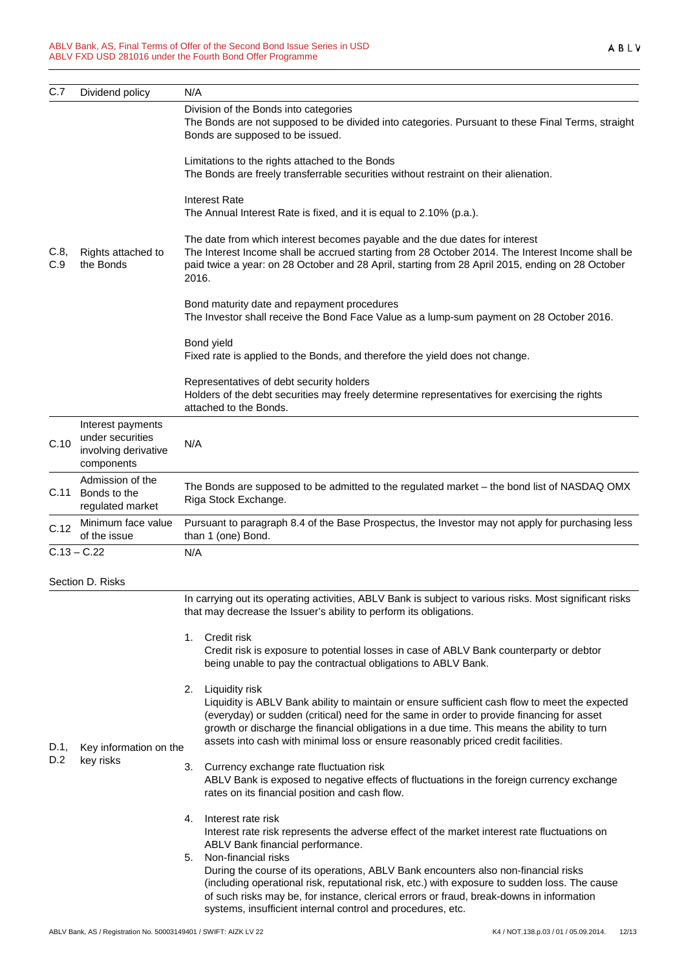| C.7         | Dividend policy                                                             | N/A                                                                                                                                                                                                                                                                                                                                                                                                     |  |
|-------------|-----------------------------------------------------------------------------|---------------------------------------------------------------------------------------------------------------------------------------------------------------------------------------------------------------------------------------------------------------------------------------------------------------------------------------------------------------------------------------------------------|--|
| C.8,<br>C.9 | Rights attached to<br>the Bonds                                             | Division of the Bonds into categories<br>The Bonds are not supposed to be divided into categories. Pursuant to these Final Terms, straight<br>Bonds are supposed to be issued.                                                                                                                                                                                                                          |  |
|             |                                                                             | Limitations to the rights attached to the Bonds<br>The Bonds are freely transferrable securities without restraint on their alienation.                                                                                                                                                                                                                                                                 |  |
|             |                                                                             | <b>Interest Rate</b><br>The Annual Interest Rate is fixed, and it is equal to 2.10% (p.a.).                                                                                                                                                                                                                                                                                                             |  |
|             |                                                                             | The date from which interest becomes payable and the due dates for interest<br>The Interest Income shall be accrued starting from 28 October 2014. The Interest Income shall be<br>paid twice a year: on 28 October and 28 April, starting from 28 April 2015, ending on 28 October<br>2016.                                                                                                            |  |
|             |                                                                             | Bond maturity date and repayment procedures<br>The Investor shall receive the Bond Face Value as a lump-sum payment on 28 October 2016.                                                                                                                                                                                                                                                                 |  |
|             |                                                                             | Bond yield<br>Fixed rate is applied to the Bonds, and therefore the yield does not change.                                                                                                                                                                                                                                                                                                              |  |
|             |                                                                             | Representatives of debt security holders<br>Holders of the debt securities may freely determine representatives for exercising the rights<br>attached to the Bonds.                                                                                                                                                                                                                                     |  |
| C.10        | Interest payments<br>under securities<br>involving derivative<br>components | N/A                                                                                                                                                                                                                                                                                                                                                                                                     |  |
| C.11        | Admission of the<br>Bonds to the<br>regulated market                        | The Bonds are supposed to be admitted to the regulated market - the bond list of NASDAQ OMX<br>Riga Stock Exchange.                                                                                                                                                                                                                                                                                     |  |
| C.12        | Minimum face value<br>of the issue                                          | Pursuant to paragraph 8.4 of the Base Prospectus, the Investor may not apply for purchasing less<br>than 1 (one) Bond.                                                                                                                                                                                                                                                                                  |  |
|             | $C.13 - C.22$                                                               | N/A                                                                                                                                                                                                                                                                                                                                                                                                     |  |
|             | Section D. Risks                                                            |                                                                                                                                                                                                                                                                                                                                                                                                         |  |
|             |                                                                             | In carrying out its operating activities, ABLV Bank is subject to various risks. Most significant risks<br>that may decrease the Issuer's ability to perform its obligations.                                                                                                                                                                                                                           |  |
| D.1,        | Key information on the                                                      | Credit risk<br>1.<br>Credit risk is exposure to potential losses in case of ABLV Bank counterparty or debtor<br>being unable to pay the contractual obligations to ABLV Bank.                                                                                                                                                                                                                           |  |
|             |                                                                             | Liquidity risk<br>2.<br>Liquidity is ABLV Bank ability to maintain or ensure sufficient cash flow to meet the expected<br>(everyday) or sudden (critical) need for the same in order to provide financing for asset<br>growth or discharge the financial obligations in a due time. This means the ability to turn<br>assets into cash with minimal loss or ensure reasonably priced credit facilities. |  |
| D.2         | key risks                                                                   | Currency exchange rate fluctuation risk<br>3.<br>ABLV Bank is exposed to negative effects of fluctuations in the foreign currency exchange<br>rates on its financial position and cash flow.                                                                                                                                                                                                            |  |
|             |                                                                             | Interest rate risk<br>4.<br>Interest rate risk represents the adverse effect of the market interest rate fluctuations on<br>ABLV Bank financial performance.                                                                                                                                                                                                                                            |  |
|             |                                                                             | Non-financial risks<br>5.<br>During the course of its operations, ABLV Bank encounters also non-financial risks<br>(including operational risk, reputational risk, etc.) with exposure to sudden loss. The cause<br>of such risks may be, for instance, clerical errors or fraud, break-downs in information<br>systems, insufficient internal control and procedures, etc.                             |  |